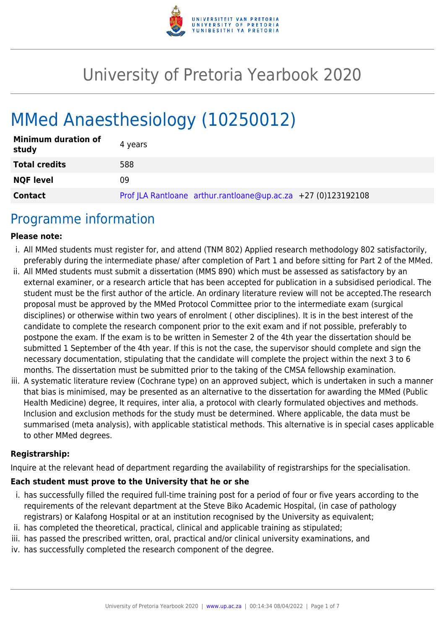

# University of Pretoria Yearbook 2020

# MMed Anaesthesiology (10250012)

| <b>Minimum duration of</b><br>study | 4 years                                                         |
|-------------------------------------|-----------------------------------------------------------------|
| <b>Total credits</b>                | 588                                                             |
| <b>NQF level</b>                    | 09                                                              |
| <b>Contact</b>                      | Prof JLA Rantloane arthur.rantloane@up.ac.za $+27$ (0)123192108 |

### Programme information

#### **Please note:**

- i. All MMed students must register for, and attend (TNM 802) Applied research methodology 802 satisfactorily, preferably during the intermediate phase/ after completion of Part 1 and before sitting for Part 2 of the MMed.
- ii. All MMed students must submit a dissertation (MMS 890) which must be assessed as satisfactory by an external examiner, or a research article that has been accepted for publication in a subsidised periodical. The student must be the first author of the article. An ordinary literature review will not be accepted.The research proposal must be approved by the MMed Protocol Committee prior to the intermediate exam (surgical disciplines) or otherwise within two years of enrolment ( other disciplines). It is in the best interest of the candidate to complete the research component prior to the exit exam and if not possible, preferably to postpone the exam. If the exam is to be written in Semester 2 of the 4th year the dissertation should be submitted 1 September of the 4th year. If this is not the case, the supervisor should complete and sign the necessary documentation, stipulating that the candidate will complete the project within the next 3 to 6 months. The dissertation must be submitted prior to the taking of the CMSA fellowship examination.
- iii. A systematic literature review (Cochrane type) on an approved subject, which is undertaken in such a manner that bias is minimised, may be presented as an alternative to the dissertation for awarding the MMed (Public Health Medicine) degree, It requires, inter alia, a protocol with clearly formulated objectives and methods. Inclusion and exclusion methods for the study must be determined. Where applicable, the data must be summarised (meta analysis), with applicable statistical methods. This alternative is in special cases applicable to other MMed degrees.

#### **Registrarship:**

Inquire at the relevant head of department regarding the availability of registrarships for the specialisation.

#### **Each student must prove to the University that he or she**

- i. has successfully filled the required full-time training post for a period of four or five years according to the requirements of the relevant department at the Steve Biko Academic Hospital, (in case of pathology registrars) or Kalafong Hospital or at an institution recognised by the University as equivalent;
- ii. has completed the theoretical, practical, clinical and applicable training as stipulated;
- iii. has passed the prescribed written, oral, practical and/or clinical university examinations, and
- iv. has successfully completed the research component of the degree.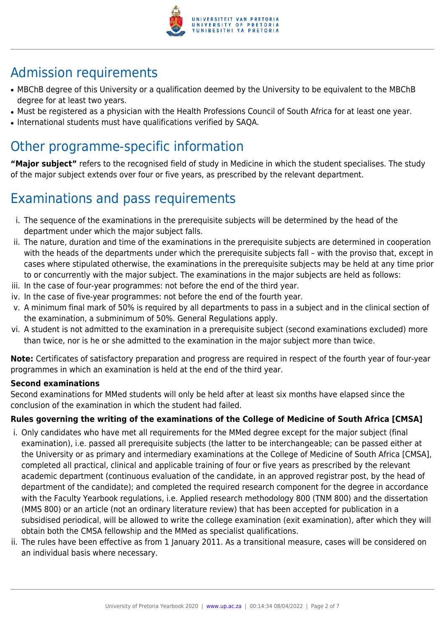

# Admission requirements

- MBChB degree of this University or a qualification deemed by the University to be equivalent to the MBChB degree for at least two years.
- Must be registered as a physician with the Health Professions Council of South Africa for at least one year.
- International students must have qualifications verified by SAQA.

## Other programme-specific information

**"Major subject"** refers to the recognised field of study in Medicine in which the student specialises. The study of the major subject extends over four or five years, as prescribed by the relevant department.

# Examinations and pass requirements

- i. The sequence of the examinations in the prerequisite subjects will be determined by the head of the department under which the major subject falls.
- ii. The nature, duration and time of the examinations in the prerequisite subjects are determined in cooperation with the heads of the departments under which the prerequisite subjects fall – with the proviso that, except in cases where stipulated otherwise, the examinations in the prerequisite subjects may be held at any time prior to or concurrently with the major subject. The examinations in the major subjects are held as follows:
- iii. In the case of four-year programmes: not before the end of the third year.
- iv. In the case of five-year programmes: not before the end of the fourth year.
- v. A minimum final mark of 50% is required by all departments to pass in a subject and in the clinical section of the examination, a subminimum of 50%. General Regulations apply.
- vi. A student is not admitted to the examination in a prerequisite subject (second examinations excluded) more than twice, nor is he or she admitted to the examination in the major subject more than twice.

**Note:** Certificates of satisfactory preparation and progress are required in respect of the fourth year of four-year programmes in which an examination is held at the end of the third year.

#### **Second examinations**

Second examinations for MMed students will only be held after at least six months have elapsed since the conclusion of the examination in which the student had failed.

### **Rules governing the writing of the examinations of the College of Medicine of South Africa [CMSA]**

- i. Only candidates who have met all requirements for the MMed degree except for the major subject (final examination), i.e. passed all prerequisite subjects (the latter to be interchangeable; can be passed either at the University or as primary and intermediary examinations at the College of Medicine of South Africa [CMSA], completed all practical, clinical and applicable training of four or five years as prescribed by the relevant academic department (continuous evaluation of the candidate, in an approved registrar post, by the head of department of the candidate); and completed the required research component for the degree in accordance with the Faculty Yearbook regulations, i.e. Applied research methodology 800 (TNM 800) and the dissertation (MMS 800) or an article (not an ordinary literature review) that has been accepted for publication in a subsidised periodical, will be allowed to write the college examination (exit examination), after which they will obtain both the CMSA fellowship and the MMed as specialist qualifications.
- ii. The rules have been effective as from 1 January 2011. As a transitional measure, cases will be considered on an individual basis where necessary.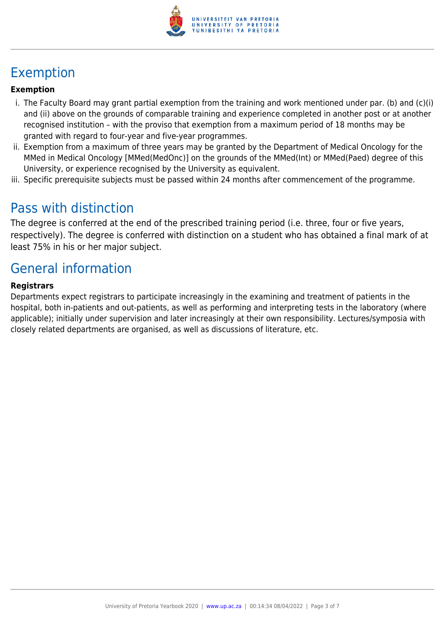

# Exemption

#### **Exemption**

- i. The Faculty Board may grant partial exemption from the training and work mentioned under par. (b) and (c)(i) and (ii) above on the grounds of comparable training and experience completed in another post or at another recognised institution – with the proviso that exemption from a maximum period of 18 months may be granted with regard to four-year and five-year programmes.
- ii. Exemption from a maximum of three years may be granted by the Department of Medical Oncology for the MMed in Medical Oncology [MMed(MedOnc)] on the grounds of the MMed(Int) or MMed(Paed) degree of this University, or experience recognised by the University as equivalent.
- iii. Specific prerequisite subjects must be passed within 24 months after commencement of the programme.

### Pass with distinction

The degree is conferred at the end of the prescribed training period (i.e. three, four or five years, respectively). The degree is conferred with distinction on a student who has obtained a final mark of at least 75% in his or her major subject.

## General information

#### **Registrars**

Departments expect registrars to participate increasingly in the examining and treatment of patients in the hospital, both in-patients and out-patients, as well as performing and interpreting tests in the laboratory (where applicable); initially under supervision and later increasingly at their own responsibility. Lectures/symposia with closely related departments are organised, as well as discussions of literature, etc.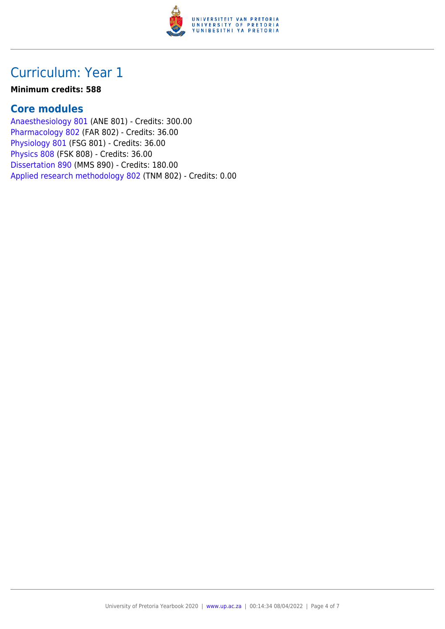

## Curriculum: Year 1

#### **Minimum credits: 588**

### **Core modules**

[Anaesthesiology 801](https://www.up.ac.za/faculty-of-education/yearbooks/2020/modules/view/ANE 801) (ANE 801) - Credits: 300.00 [Pharmacology 802](https://www.up.ac.za/faculty-of-education/yearbooks/2020/modules/view/FAR 802) (FAR 802) - Credits: 36.00 [Physiology 801](https://www.up.ac.za/faculty-of-education/yearbooks/2020/modules/view/FSG 801) (FSG 801) - Credits: 36.00 [Physics 808](https://www.up.ac.za/faculty-of-education/yearbooks/2020/modules/view/FSK 808) (FSK 808) - Credits: 36.00 [Dissertation 890](https://www.up.ac.za/faculty-of-education/yearbooks/2020/modules/view/MMS 890) (MMS 890) - Credits: 180.00 [Applied research methodology 802](https://www.up.ac.za/faculty-of-education/yearbooks/2020/modules/view/TNM 802) (TNM 802) - Credits: 0.00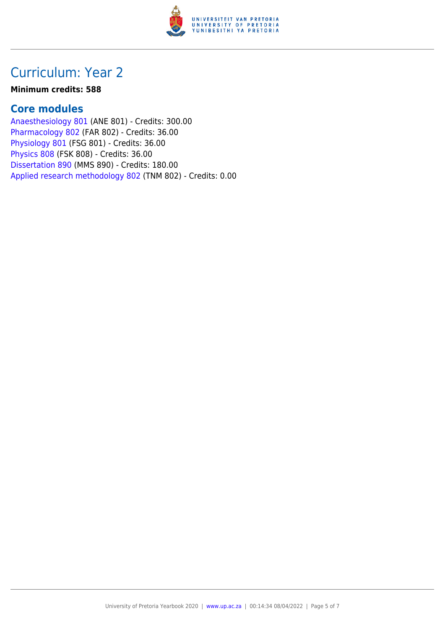

## Curriculum: Year 2

#### **Minimum credits: 588**

### **Core modules**

[Anaesthesiology 801](https://www.up.ac.za/faculty-of-education/yearbooks/2020/modules/view/ANE 801) (ANE 801) - Credits: 300.00 [Pharmacology 802](https://www.up.ac.za/faculty-of-education/yearbooks/2020/modules/view/FAR 802) (FAR 802) - Credits: 36.00 [Physiology 801](https://www.up.ac.za/faculty-of-education/yearbooks/2020/modules/view/FSG 801) (FSG 801) - Credits: 36.00 [Physics 808](https://www.up.ac.za/faculty-of-education/yearbooks/2020/modules/view/FSK 808) (FSK 808) - Credits: 36.00 [Dissertation 890](https://www.up.ac.za/faculty-of-education/yearbooks/2020/modules/view/MMS 890) (MMS 890) - Credits: 180.00 [Applied research methodology 802](https://www.up.ac.za/faculty-of-education/yearbooks/2020/modules/view/TNM 802) (TNM 802) - Credits: 0.00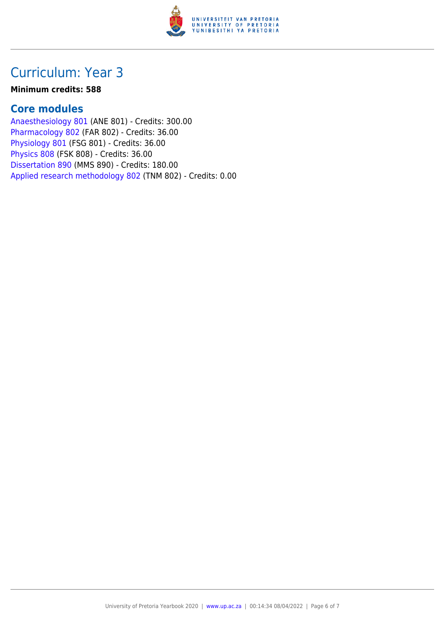

## Curriculum: Year 3

#### **Minimum credits: 588**

### **Core modules**

[Anaesthesiology 801](https://www.up.ac.za/faculty-of-education/yearbooks/2020/modules/view/ANE 801) (ANE 801) - Credits: 300.00 [Pharmacology 802](https://www.up.ac.za/faculty-of-education/yearbooks/2020/modules/view/FAR 802) (FAR 802) - Credits: 36.00 [Physiology 801](https://www.up.ac.za/faculty-of-education/yearbooks/2020/modules/view/FSG 801) (FSG 801) - Credits: 36.00 [Physics 808](https://www.up.ac.za/faculty-of-education/yearbooks/2020/modules/view/FSK 808) (FSK 808) - Credits: 36.00 [Dissertation 890](https://www.up.ac.za/faculty-of-education/yearbooks/2020/modules/view/MMS 890) (MMS 890) - Credits: 180.00 [Applied research methodology 802](https://www.up.ac.za/faculty-of-education/yearbooks/2020/modules/view/TNM 802) (TNM 802) - Credits: 0.00